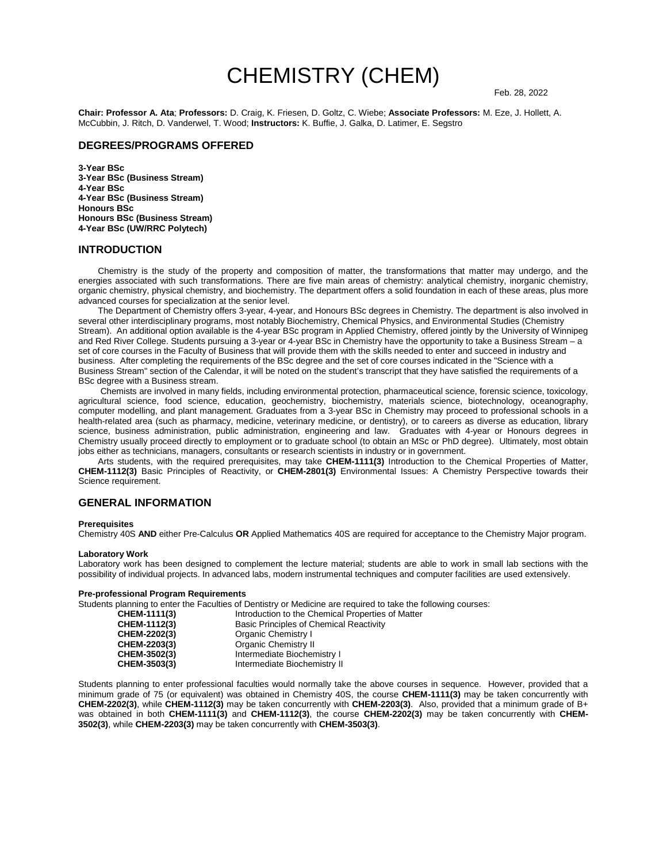# CHEMISTRY (CHEM) Feb. 28, 2022

**Chair: Professor A. Ata**; **Professors:** D. Craig, K. Friesen, D. Goltz, C. Wiebe; **Associate Professors:** M. Eze, J. Hollett, A. McCubbin, J. Ritch, D. Vanderwel, T. Wood; **Instructors:** K. Buffie, J. Galka, D. Latimer, E. Segstro

#### **DEGREES/PROGRAMS OFFERED**

**3-Year BSc 3-Year BSc (Business Stream) 4-Year BSc 4-Year BSc (Business Stream) Honours BSc Honours BSc (Business Stream) 4-Year BSc (UW/RRC Polytech)** 

#### **INTRODUCTION**

Chemistry is the study of the property and composition of matter, the transformations that matter may undergo, and the energies associated with such transformations. There are five main areas of chemistry: analytical chemistry, inorganic chemistry, organic chemistry, physical chemistry, and biochemistry. The department offers a solid foundation in each of these areas, plus more advanced courses for specialization at the senior level.

The Department of Chemistry offers 3-year, 4-year, and Honours BSc degrees in Chemistry. The department is also involved in several other interdisciplinary programs, most notably Biochemistry, Chemical Physics, and Environmental Studies (Chemistry Stream). An additional option available is the 4-year BSc program in Applied Chemistry, offered jointly by the University of Winnipeg and Red River College. Students pursuing a 3-year or 4-year BSc in Chemistry have the opportunity to take a Business Stream – a set of core courses in the Faculty of Business that will provide them with the skills needed to enter and succeed in industry and business. After completing the requirements of the BSc degree and the set of core courses indicated in the "Science with a Business Stream" section of the Calendar, it will be noted on the student's transcript that they have satisfied the requirements of a BSc degree with a Business stream.

Chemists are involved in many fields, including environmental protection, pharmaceutical science, forensic science, toxicology, agricultural science, food science, education, geochemistry, biochemistry, materials science, biotechnology, oceanography, computer modelling, and plant management. Graduates from a 3-year BSc in Chemistry may proceed to professional schools in a health-related area (such as pharmacy, medicine, veterinary medicine, or dentistry), or to careers as diverse as education, library science, business administration, public administration, engineering and law. Graduates with 4-year or Honours degrees in Chemistry usually proceed directly to employment or to graduate school (to obtain an MSc or PhD degree). Ultimately, most obtain jobs either as technicians, managers, consultants or research scientists in industry or in government.

Arts students, with the required prerequisites, may take **CHEM-1111(3)** Introduction to the Chemical Properties of Matter, **CHEM-1112(3)** Basic Principles of Reactivity, or **CHEM-2801(3)** Environmental Issues: A Chemistry Perspective towards their Science requirement.

#### **GENERAL INFORMATION**

#### **Prerequisites**

Chemistry 40S **AND** either Pre-Calculus **OR** Applied Mathematics 40S are required for acceptance to the Chemistry Major program.

#### **Laboratory Work**

Laboratory work has been designed to complement the lecture material; students are able to work in small lab sections with the possibility of individual projects. In advanced labs, modern instrumental techniques and computer facilities are used extensively.

# **Pre-professional Program Requirements**

|              | Students planning to enter the Faculties of Dentistry or Medicine are required to take the following courses: |
|--------------|---------------------------------------------------------------------------------------------------------------|
| CHEM-1111(3) | Introduction to the Chemical Properties of Matter                                                             |
| CHEM-1112(3) | Basic Principles of Chemical Reactivity                                                                       |
| CHEM-2202(3) | Organic Chemistry I                                                                                           |
| CHEM-2203(3) | Organic Chemistry II                                                                                          |
| CHEM-3502(3) | Intermediate Biochemistry I                                                                                   |
| CHEM-3503(3) | Intermediate Biochemistry II                                                                                  |
|              |                                                                                                               |

Students planning to enter professional faculties would normally take the above courses in sequence. However, provided that a minimum grade of 75 (or equivalent) was obtained in Chemistry 40S, the course **CHEM-1111(3)** may be taken concurrently with **CHEM-2202(3)**, while **CHEM-1112(3)** may be taken concurrently with **CHEM-2203(3)**. Also, provided that a minimum grade of B+ was obtained in both **CHEM-1111(3)** and **CHEM-1112(3)**, the course **CHEM-2202(3)** may be taken concurrently with **CHEM-3502(3)**, while **CHEM-2203(3)** may be taken concurrently with **CHEM-3503(3)**.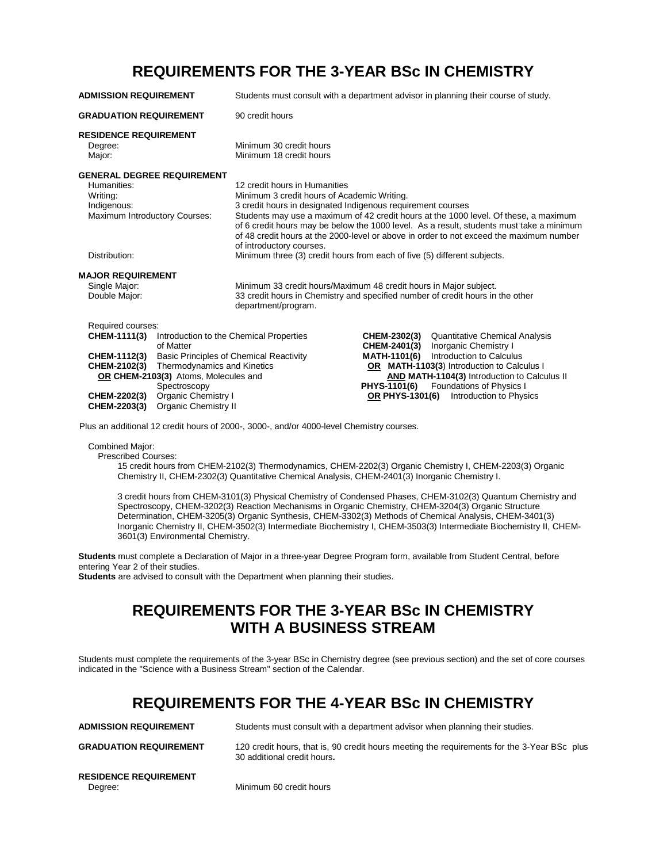### **REQUIREMENTS FOR THE 3-YEAR BSc IN CHEMISTRY**

| <b>ADMISSION REQUIREMENT</b>                                                                                                                                                                                                                                | Students must consult with a department advisor in planning their course of study.                                                                                                                                                                                                                                                                                                                                                                                                                                                 |  |  |
|-------------------------------------------------------------------------------------------------------------------------------------------------------------------------------------------------------------------------------------------------------------|------------------------------------------------------------------------------------------------------------------------------------------------------------------------------------------------------------------------------------------------------------------------------------------------------------------------------------------------------------------------------------------------------------------------------------------------------------------------------------------------------------------------------------|--|--|
| <b>GRADUATION REQUIREMENT</b>                                                                                                                                                                                                                               | 90 credit hours                                                                                                                                                                                                                                                                                                                                                                                                                                                                                                                    |  |  |
| <b>RESIDENCE REQUIREMENT</b><br>Degree:<br>Major:                                                                                                                                                                                                           | Minimum 30 credit hours<br>Minimum 18 credit hours                                                                                                                                                                                                                                                                                                                                                                                                                                                                                 |  |  |
| <b>GENERAL DEGREE REQUIREMENT</b><br>Humanities:<br>Writing:<br>Indigenous:<br>Maximum Introductory Courses:<br>Distribution:                                                                                                                               | 12 credit hours in Humanities<br>Minimum 3 credit hours of Academic Writing.<br>3 credit hours in designated Indigenous requirement courses<br>Students may use a maximum of 42 credit hours at the 1000 level. Of these, a maximum<br>of 6 credit hours may be below the 1000 level. As a result, students must take a minimum<br>of 48 credit hours at the 2000-level or above in order to not exceed the maximum number<br>of introductory courses.<br>Minimum three (3) credit hours from each of five (5) different subjects. |  |  |
| <b>MAJOR REQUIREMENT</b><br>Single Major:<br>Double Major:                                                                                                                                                                                                  | Minimum 33 credit hours/Maximum 48 credit hours in Major subject.<br>33 credit hours in Chemistry and specified number of credit hours in the other<br>department/program.                                                                                                                                                                                                                                                                                                                                                         |  |  |
| Required courses:<br>CHEM-1111(3)<br>of Matter<br>CHEM-1112(3)<br>Thermodynamics and Kinetics<br>CHEM-2102(3)<br>OR CHEM-2103(3) Atoms, Molecules and<br>Spectroscopy<br>Organic Chemistry I<br><b>CHEM-2202(3)</b><br>Organic Chemistry II<br>CHEM-2203(3) | Introduction to the Chemical Properties<br>CHEM-2302(3)<br><b>Quantitative Chemical Analysis</b><br>CHEM-2401(3)<br>Inorganic Chemistry I<br><b>MATH-1101(6)</b><br>Introduction to Calculus<br><b>Basic Principles of Chemical Reactivity</b><br>OR MATH-1103(3) Introduction to Calculus I<br>AND MATH-1104(3) Introduction to Calculus II<br><b>PHYS-1101(6)</b><br><b>Foundations of Physics I</b><br>Introduction to Physics<br><b>OR PHYS-1301(6)</b>                                                                        |  |  |

Plus an additional 12 credit hours of 2000-, 3000-, and/or 4000-level Chemistry courses.

Combined Major:

Prescribed Courses:

15 credit hours from CHEM-2102(3) Thermodynamics, CHEM-2202(3) Organic Chemistry I, CHEM-2203(3) Organic Chemistry II, CHEM-2302(3) Quantitative Chemical Analysis, CHEM-2401(3) Inorganic Chemistry I.

3 credit hours from CHEM-3101(3) Physical Chemistry of Condensed Phases, CHEM-3102(3) Quantum Chemistry and Spectroscopy, CHEM-3202(3) Reaction Mechanisms in Organic Chemistry, CHEM-3204(3) Organic Structure Determination, CHEM-3205(3) Organic Synthesis, CHEM-3302(3) Methods of Chemical Analysis, CHEM-3401(3) Inorganic Chemistry II, CHEM-3502(3) Intermediate Biochemistry I, CHEM-3503(3) Intermediate Biochemistry II, CHEM-3601(3) Environmental Chemistry.

**Students** must complete a Declaration of Major in a three-year Degree Program form, available from Student Central, before entering Year 2 of their studies.

**Students** are advised to consult with the Department when planning their studies.

### **REQUIREMENTS FOR THE 3-YEAR BSc IN CHEMISTRY WITH A BUSINESS STREAM**

Students must complete the requirements of the 3-year BSc in Chemistry degree (see previous section) and the set of core courses indicated in the "Science with a Business Stream" section of the Calendar.

### **REQUIREMENTS FOR THE 4-YEAR BSc IN CHEMISTRY**

| <b>ADMISSION REQUIREMENT</b>            | Students must consult with a department advisor when planning their studies.                                               |
|-----------------------------------------|----------------------------------------------------------------------------------------------------------------------------|
| <b>GRADUATION REQUIREMENT</b>           | 120 credit hours, that is, 90 credit hours meeting the requirements for the 3-Year BSc plus<br>30 additional credit hours. |
| <b>RESIDENCE REQUIREMENT</b><br>Dearee: | Minimum 60 credit hours                                                                                                    |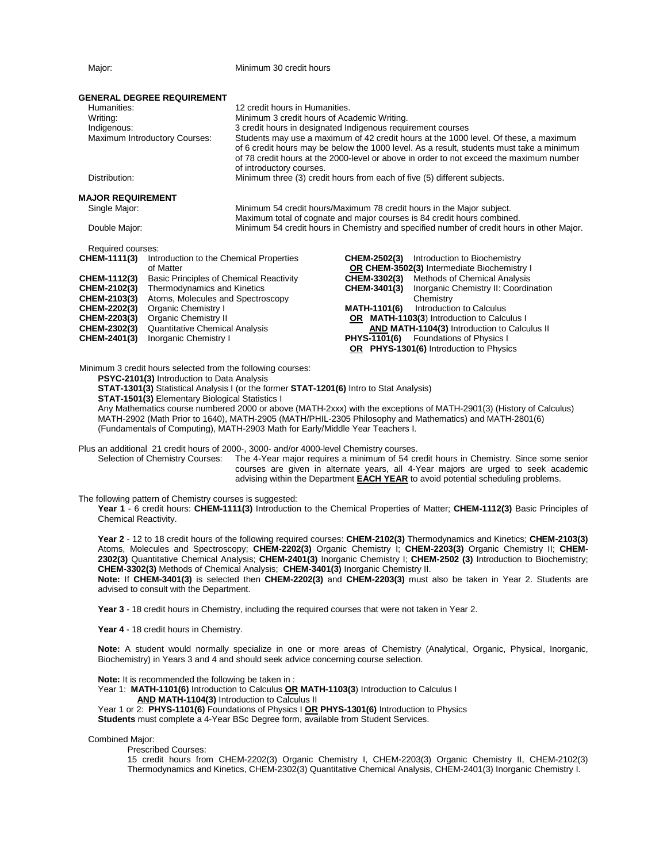Major: Major: Minimum 30 credit hours

| <b>GENERAL DEGREE REQUIREMENT</b><br>Humanities:<br>Writing:<br>Indigenous:<br>Maximum Introductory Courses:                                      |                                                                                                                                                                                                                                                                                                    | 12 credit hours in Humanities.<br>Minimum 3 credit hours of Academic Writing.<br>3 credit hours in designated Indigenous requirement courses<br>Students may use a maximum of 42 credit hours at the 1000 level. Of these, a maximum<br>of 6 credit hours may be below the 1000 level. As a result, students must take a minimum<br>of 78 credit hours at the 2000-level or above in order to not exceed the maximum number |                                                                                   |                                                                                                                                                                                                                                                                                                                                                                                              |
|---------------------------------------------------------------------------------------------------------------------------------------------------|----------------------------------------------------------------------------------------------------------------------------------------------------------------------------------------------------------------------------------------------------------------------------------------------------|-----------------------------------------------------------------------------------------------------------------------------------------------------------------------------------------------------------------------------------------------------------------------------------------------------------------------------------------------------------------------------------------------------------------------------|-----------------------------------------------------------------------------------|----------------------------------------------------------------------------------------------------------------------------------------------------------------------------------------------------------------------------------------------------------------------------------------------------------------------------------------------------------------------------------------------|
| Distribution:                                                                                                                                     |                                                                                                                                                                                                                                                                                                    | of introductory courses.<br>Minimum three (3) credit hours from each of five (5) different subjects.                                                                                                                                                                                                                                                                                                                        |                                                                                   |                                                                                                                                                                                                                                                                                                                                                                                              |
| <b>MAJOR REQUIREMENT</b><br>Single Major:<br>Double Major:                                                                                        |                                                                                                                                                                                                                                                                                                    | Minimum 54 credit hours/Maximum 78 credit hours in the Major subject.<br>Maximum total of cognate and major courses is 84 credit hours combined.<br>Minimum 54 credit hours in Chemistry and specified number of credit hours in other Major.                                                                                                                                                                               |                                                                                   |                                                                                                                                                                                                                                                                                                                                                                                              |
| Required courses:<br>CHEM-1111(3)<br>CHEM-1112(3)<br>CHEM-2102(3)<br>CHEM-2103(3)<br>CHEM-2202(3)<br>CHEM-2203(3)<br>CHEM-2302(3)<br>CHEM-2401(3) | Introduction to the Chemical Properties<br>of Matter<br><b>Basic Principles of Chemical Reactivity</b><br>Thermodynamics and Kinetics<br>Atoms, Molecules and Spectroscopy<br>Organic Chemistry I<br><b>Organic Chemistry II</b><br><b>Quantitative Chemical Analysis</b><br>Inorganic Chemistry I |                                                                                                                                                                                                                                                                                                                                                                                                                             | <b>CHEM-2502(3)</b><br><b>CHEM-3302(3)</b><br>CHEM-3401(3)<br><b>MATH-1101(6)</b> | Introduction to Biochemistry<br>OR CHEM-3502(3) Intermediate Biochemistry I<br>Methods of Chemical Analysis<br>Inorganic Chemistry II: Coordination<br>Chemistry<br>Introduction to Calculus<br>OR MATH-1103(3) Introduction to Calculus I<br><b>AND MATH-1104(3)</b> Introduction to Calculus II<br>PHYS-1101(6) Foundations of Physics I<br><b>OR</b> PHYS-1301(6) Introduction to Physics |
|                                                                                                                                                   | Minimum 3 credit hours selected from the following courses:<br>PSYC-2101(3) Introduction to Data Analysis                                                                                                                                                                                          | <b>STAT-1301(3)</b> Statistical Analysis I (or the former <b>STAT-1201(6)</b> Intro to Stat Analysis)                                                                                                                                                                                                                                                                                                                       |                                                                                   |                                                                                                                                                                                                                                                                                                                                                                                              |

**STAT-1501(3)** Elementary Biological Statistics I

Any Mathematics course numbered 2000 or above (MATH-2xxx) with the exceptions of MATH-2901(3) (History of Calculus) MATH-2902 (Math Prior to 1640), MATH-2905 (MATH/PHIL-2305 Philosophy and Mathematics) and MATH-2801(6) (Fundamentals of Computing), MATH-2903 Math for Early/Middle Year Teachers I.

Plus an additional 21 credit hours of 2000-, 3000- and/or 4000-level Chemistry courses.

Selection of Chemistry Courses: The 4-Year major requires a minimum of 54 credit hours in Chemistry. Since some senior courses are given in alternate years, all 4-Year majors are urged to seek academic advising within the Department **EACH YEAR** to avoid potential scheduling problems.

The following pattern of Chemistry courses is suggested:

**Year 1** - 6 credit hours: **CHEM-1111(3)** Introduction to the Chemical Properties of Matter; **CHEM-1112(3)** Basic Principles of Chemical Reactivity.

**Year 2** - 12 to 18 credit hours of the following required courses: **CHEM-2102(3)** Thermodynamics and Kinetics; **CHEM-2103(3)**  Atoms, Molecules and Spectroscopy; **CHEM-2202(3)** Organic Chemistry I; **CHEM-2203(3)** Organic Chemistry II; **CHEM-2302(3)** Quantitative Chemical Analysis; **CHEM-2401(3)** Inorganic Chemistry I; **CHEM-2502 (3)** Introduction to Biochemistry; **CHEM-3302(3)** Methods of Chemical Analysis; **CHEM-3401(3)** Inorganic Chemistry II.

**Note:** If **CHEM-3401(3)** is selected then **CHEM-2202(3)** and **CHEM-2203(3)** must also be taken in Year 2. Students are advised to consult with the Department.

**Year 3** - 18 credit hours in Chemistry, including the required courses that were not taken in Year 2.

**Year 4** - 18 credit hours in Chemistry.

**Note:** A student would normally specialize in one or more areas of Chemistry (Analytical, Organic, Physical, Inorganic, Biochemistry) in Years 3 and 4 and should seek advice concerning course selection.

**Note:** It is recommended the following be taken in :

Year 1: **MATH-1101(6)** Introduction to Calculus **OR MATH-1103(3**) Introduction to Calculus I **AND MATH-1104(3)** Introduction to Calculus II

Year 1 or 2: **PHYS-1101(6)** Foundations of Physics I **OR PHYS-1301(6)** Introduction to Physics **Students** must complete a 4-Year BSc Degree form, available from Student Services.

Combined Major:

Prescribed Courses:

15 credit hours from CHEM-2202(3) Organic Chemistry I, CHEM-2203(3) Organic Chemistry II, CHEM-2102(3) Thermodynamics and Kinetics, CHEM-2302(3) Quantitative Chemical Analysis, CHEM-2401(3) Inorganic Chemistry I.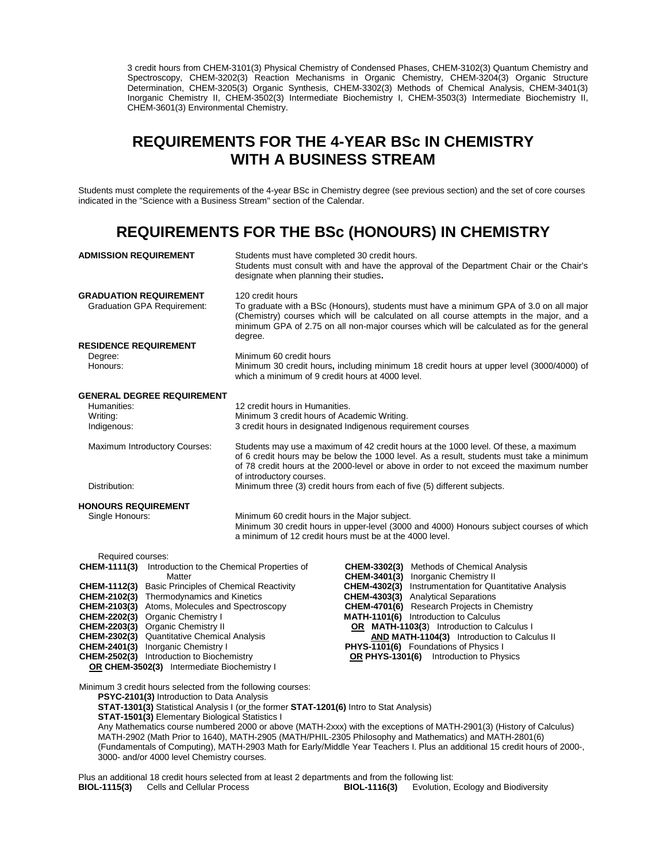3 credit hours from CHEM-3101(3) Physical Chemistry of Condensed Phases, CHEM-3102(3) Quantum Chemistry and Spectroscopy, CHEM-3202(3) Reaction Mechanisms in Organic Chemistry, CHEM-3204(3) Organic Structure Determination, CHEM-3205(3) Organic Synthesis, CHEM-3302(3) Methods of Chemical Analysis, CHEM-3401(3) Inorganic Chemistry II, CHEM-3502(3) Intermediate Biochemistry I, CHEM-3503(3) Intermediate Biochemistry II, CHEM-3601(3) Environmental Chemistry.

### **REQUIREMENTS FOR THE 4-YEAR BSc IN CHEMISTRY WITH A BUSINESS STREAM**

Students must complete the requirements of the 4-year BSc in Chemistry degree (see previous section) and the set of core courses indicated in the "Science with a Business Stream" section of the Calendar.

### **REQUIREMENTS FOR THE BSc (HONOURS) IN CHEMISTRY**

| <b>ADMISSION REQUIREMENT</b>  |                                                                                                                                                                         | Students must have completed 30 credit hours.<br>Students must consult with and have the approval of the Department Chair or the Chair's<br>designate when planning their studies.                                                                                                                           |                                                                                                   |  |
|-------------------------------|-------------------------------------------------------------------------------------------------------------------------------------------------------------------------|--------------------------------------------------------------------------------------------------------------------------------------------------------------------------------------------------------------------------------------------------------------------------------------------------------------|---------------------------------------------------------------------------------------------------|--|
| <b>GRADUATION REQUIREMENT</b> | <b>Graduation GPA Requirement:</b>                                                                                                                                      | 120 credit hours<br>To graduate with a BSc (Honours), students must have a minimum GPA of 3.0 on all major<br>(Chemistry) courses which will be calculated on all course attempts in the major, and a<br>minimum GPA of 2.75 on all non-major courses which will be calculated as for the general<br>degree. |                                                                                                   |  |
| <b>RESIDENCE REQUIREMENT</b>  |                                                                                                                                                                         |                                                                                                                                                                                                                                                                                                              |                                                                                                   |  |
| Degree:<br>Honours:           | Minimum 60 credit hours<br>Minimum 30 credit hours, including minimum 18 credit hours at upper level (3000/4000) of<br>which a minimum of 9 credit hours at 4000 level. |                                                                                                                                                                                                                                                                                                              |                                                                                                   |  |
|                               | <b>GENERAL DEGREE REQUIREMENT</b>                                                                                                                                       |                                                                                                                                                                                                                                                                                                              |                                                                                                   |  |
| Humanities:                   |                                                                                                                                                                         | 12 credit hours in Humanities.                                                                                                                                                                                                                                                                               |                                                                                                   |  |
| Writing:                      |                                                                                                                                                                         | Minimum 3 credit hours of Academic Writing.                                                                                                                                                                                                                                                                  |                                                                                                   |  |
| Indigenous:                   |                                                                                                                                                                         |                                                                                                                                                                                                                                                                                                              | 3 credit hours in designated Indigenous requirement courses                                       |  |
|                               | Maximum Introductory Courses:                                                                                                                                           | Students may use a maximum of 42 credit hours at the 1000 level. Of these, a maximum<br>of 6 credit hours may be below the 1000 level. As a result, students must take a minimum<br>of 78 credit hours at the 2000-level or above in order to not exceed the maximum number<br>of introductory courses.      |                                                                                                   |  |
| Distribution:                 |                                                                                                                                                                         | Minimum three (3) credit hours from each of five (5) different subjects.                                                                                                                                                                                                                                     |                                                                                                   |  |
| <b>HONOURS REQUIREMENT</b>    |                                                                                                                                                                         |                                                                                                                                                                                                                                                                                                              |                                                                                                   |  |
| Single Honours:               |                                                                                                                                                                         | Minimum 60 credit hours in the Major subject.<br>Minimum 30 credit hours in upper-level (3000 and 4000) Honours subject courses of which<br>a minimum of 12 credit hours must be at the 4000 level.                                                                                                          |                                                                                                   |  |
| Required courses:             |                                                                                                                                                                         |                                                                                                                                                                                                                                                                                                              |                                                                                                   |  |
|                               | <b>CHEM-1111(3)</b> Introduction to the Chemical Properties of<br>Matter                                                                                                |                                                                                                                                                                                                                                                                                                              | <b>CHEM-3302(3)</b> Methods of Chemical Analysis<br>CHEM-3401(3) Inorganic Chemistry II           |  |
| CHEM-1112(3)                  | <b>Basic Principles of Chemical Reactivity</b>                                                                                                                          |                                                                                                                                                                                                                                                                                                              | <b>CHEM-4302(3)</b> Instrumentation for Quantitative Analysis                                     |  |
| CHEM-2102(3)                  | Thermodynamics and Kinetics                                                                                                                                             |                                                                                                                                                                                                                                                                                                              | <b>CHEM-4303(3)</b> Analytical Separations                                                        |  |
| CHEM-2103(3)                  | Atoms, Molecules and Spectroscopy                                                                                                                                       |                                                                                                                                                                                                                                                                                                              | <b>CHEM-4701(6)</b> Research Projects in Chemistry                                                |  |
| <b>CHEM-2202(3)</b>           | Organic Chemistry I                                                                                                                                                     |                                                                                                                                                                                                                                                                                                              | MATH-1101(6) Introduction to Calculus                                                             |  |
| CHEM-2203(3)<br>CHEM-2302(3)  | <b>Organic Chemistry II</b><br><b>Quantitative Chemical Analysis</b>                                                                                                    |                                                                                                                                                                                                                                                                                                              | OR MATH-1103(3) Introduction to Calculus I<br><b>AND MATH-1104(3)</b> Introduction to Calculus II |  |
| CHEM-2401(3)                  | Inorganic Chemistry I                                                                                                                                                   |                                                                                                                                                                                                                                                                                                              | PHYS-1101(6) Foundations of Physics I                                                             |  |
| CHEM-2502(3)                  | Introduction to Biochemistry                                                                                                                                            |                                                                                                                                                                                                                                                                                                              | OR PHYS-1301(6) Introduction to Physics                                                           |  |

 **OR CHEM-3502(3)** Intermediate Biochemistry I

Minimum 3 credit hours selected from the following courses: **PSYC-2101(3)** Introduction to Data Analysis

**STAT-1301(3)** Statistical Analysis I (or the former **STAT-1201(6)** Intro to Stat Analysis) **STAT-1501(3)** Elementary Biological Statistics I

Any Mathematics course numbered 2000 or above (MATH-2xxx) with the exceptions of MATH-2901(3) (History of Calculus) MATH-2902 (Math Prior to 1640), MATH-2905 (MATH/PHIL-2305 Philosophy and Mathematics) and MATH-2801(6) (Fundamentals of Computing), MATH-2903 Math for Early/Middle Year Teachers I. Plus an additional 15 credit hours of 2000-, 3000- and/or 4000 level Chemistry courses.

Plus an additional 18 credit hours selected from at least 2 departments and from the following list: **BIOL-1116(3)** Evolution, Ecology and Biodiversity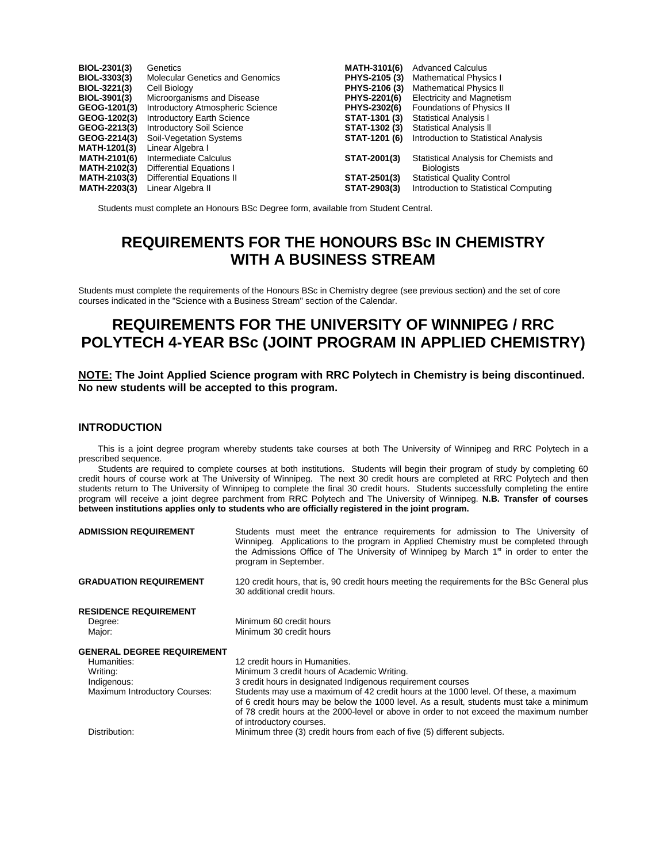| BIOL-2301(3)        | Genetics                               | <b>MATH-3101(6)</b> | <b>Advanced Calculus</b>              |
|---------------------|----------------------------------------|---------------------|---------------------------------------|
| BIOL-3303(3)        | <b>Molecular Genetics and Genomics</b> | PHYS-2105 (3)       | <b>Mathematical Physics I</b>         |
| BIOL-3221(3)        | Cell Biology                           | PHYS-2106 (3)       | <b>Mathematical Physics II</b>        |
| BIOL-3901(3)        | Microorganisms and Disease             | PHYS-2201(6)        | <b>Electricity and Magnetism</b>      |
| GEOG-1201(3)        | Introductory Atmospheric Science       | PHYS-2302(6)        | <b>Foundations of Physics II</b>      |
| GEOG-1202(3)        | Introductory Earth Science             | STAT-1301 (3)       | <b>Statistical Analysis I</b>         |
| GEOG-2213(3)        | <b>Introductory Soil Science</b>       | STAT-1302 (3)       | <b>Statistical Analysis II</b>        |
| GEOG-2214(3)        | Soil-Vegetation Systems                | STAT-1201 (6)       | Introduction to Statistical Analysis  |
| <b>MATH-1201(3)</b> | Linear Algebra I                       |                     |                                       |
| <b>MATH-2101(6)</b> | Intermediate Calculus                  | <b>STAT-2001(3)</b> | Statistical Analysis for Chemists and |
| <b>MATH-2102(3)</b> | Differential Equations I               |                     | <b>Biologists</b>                     |
| <b>MATH-2103(3)</b> | Differential Equations II              | STAT-2501(3)        | <b>Statistical Quality Control</b>    |
| <b>MATH-2203(3)</b> | Linear Algebra II                      | STAT-2903(3)        | Introduction to Statistical Computing |

Students must complete an Honours BSc Degree form, available from Student Central.

### **REQUIREMENTS FOR THE HONOURS BSc IN CHEMISTRY WITH A BUSINESS STREAM**

Students must complete the requirements of the Honours BSc in Chemistry degree (see previous section) and the set of core courses indicated in the "Science with a Business Stream" section of the Calendar.

### **REQUIREMENTS FOR THE UNIVERSITY OF WINNIPEG / RRC POLYTECH 4-YEAR BSc (JOINT PROGRAM IN APPLIED CHEMISTRY)**

#### **NOTE: The Joint Applied Science program with RRC Polytech in Chemistry is being discontinued. No new students will be accepted to this program.**

#### **INTRODUCTION**

This is a joint degree program whereby students take courses at both The University of Winnipeg and RRC Polytech in a prescribed sequence.

Students are required to complete courses at both institutions. Students will begin their program of study by completing 60 credit hours of course work at The University of Winnipeg. The next 30 credit hours are completed at RRC Polytech and then students return to The University of Winnipeg to complete the final 30 credit hours. Students successfully completing the entire program will receive a joint degree parchment from RRC Polytech and The University of Winnipeg. **N.B. Transfer of courses between institutions applies only to students who are officially registered in the joint program.**

| <b>ADMISSION REQUIREMENT</b>                                                                                        | Students must meet the entrance requirements for admission to The University of<br>Winnipeg. Applications to the program in Applied Chemistry must be completed through<br>the Admissions Office of The University of Winnipeg by March 1 <sup>st</sup> in order to enter the<br>program in September.                                                                                                                                                  |
|---------------------------------------------------------------------------------------------------------------------|---------------------------------------------------------------------------------------------------------------------------------------------------------------------------------------------------------------------------------------------------------------------------------------------------------------------------------------------------------------------------------------------------------------------------------------------------------|
| <b>GRADUATION REQUIREMENT</b>                                                                                       | 120 credit hours, that is, 90 credit hours meeting the requirements for the BSc General plus<br>30 additional credit hours.                                                                                                                                                                                                                                                                                                                             |
| <b>RESIDENCE REQUIREMENT</b><br>Degree:<br>Major:                                                                   | Minimum 60 credit hours<br>Minimum 30 credit hours                                                                                                                                                                                                                                                                                                                                                                                                      |
| <b>GENERAL DEGREE REQUIREMENT</b><br>Humanities:<br>Writing:<br>Indigenous:<br><b>Maximum Introductory Courses:</b> | 12 credit hours in Humanities.<br>Minimum 3 credit hours of Academic Writing.<br>3 credit hours in designated Indigenous requirement courses<br>Students may use a maximum of 42 credit hours at the 1000 level. Of these, a maximum<br>of 6 credit hours may be below the 1000 level. As a result, students must take a minimum<br>of 78 credit hours at the 2000-level or above in order to not exceed the maximum number<br>of introductory courses. |
| Distribution:                                                                                                       | Minimum three (3) credit hours from each of five (5) different subjects.                                                                                                                                                                                                                                                                                                                                                                                |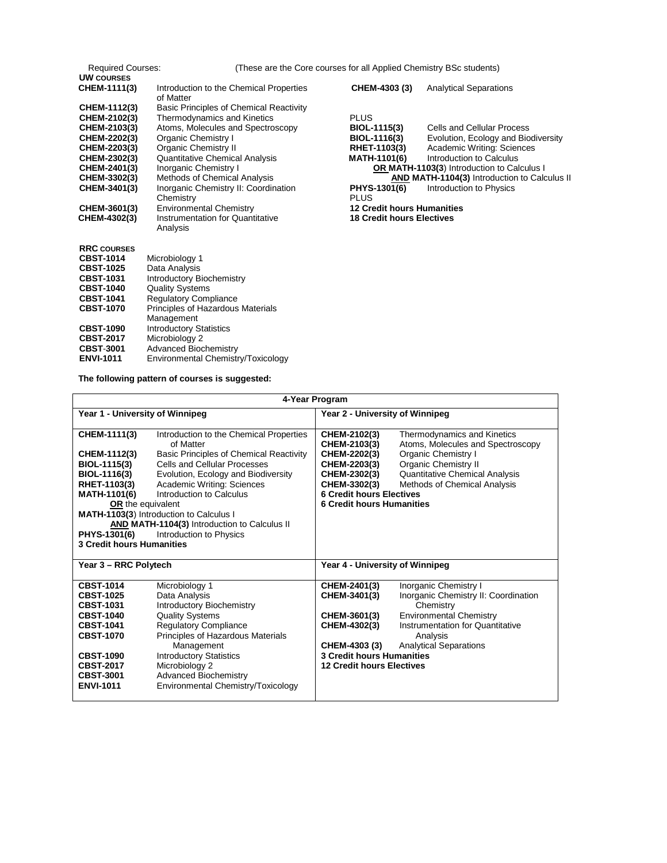| <b>Required Courses:</b> |                                                      | (These are the Core courses for all Applied Chemistry BSc students) |                                                     |  |
|--------------------------|------------------------------------------------------|---------------------------------------------------------------------|-----------------------------------------------------|--|
| <b>UW COURSES</b>        |                                                      |                                                                     |                                                     |  |
| CHEM-1111(3)             | Introduction to the Chemical Properties<br>of Matter | CHEM-4303 (3)                                                       | <b>Analytical Separations</b>                       |  |
| CHEM-1112(3)             | <b>Basic Principles of Chemical Reactivity</b>       |                                                                     |                                                     |  |
| CHEM-2102(3)             | Thermodynamics and Kinetics                          | <b>PLUS</b>                                                         |                                                     |  |
| CHEM-2103(3)             | Atoms, Molecules and Spectroscopy                    | BIOL-1115(3)                                                        | Cells and Cellular Process                          |  |
| CHEM-2202(3)             | Organic Chemistry I                                  | BIOL-1116(3)                                                        | Evolution, Ecology and Biodiversity                 |  |
| CHEM-2203(3)             | <b>Organic Chemistry II</b>                          | RHET-1103(3)                                                        | Academic Writing: Sciences                          |  |
| CHEM-2302(3)             | <b>Quantitative Chemical Analysis</b>                | <b>MATH-1101(6)</b>                                                 | Introduction to Calculus                            |  |
| CHEM-2401(3)             | Inorganic Chemistry I                                |                                                                     | <b>OR MATH-1103(3)</b> Introduction to Calculus I   |  |
| CHEM-3302(3)             | Methods of Chemical Analysis                         |                                                                     | <b>AND MATH-1104(3)</b> Introduction to Calculus II |  |
| CHEM-3401(3)             | Inorganic Chemistry II: Coordination                 | PHYS-1301(6)                                                        | Introduction to Physics                             |  |
|                          | Chemistry                                            | <b>PLUS</b>                                                         |                                                     |  |
| CHEM-3601(3)             | <b>Environmental Chemistry</b>                       | <b>12 Credit hours Humanities</b>                                   |                                                     |  |
| CHEM-4302(3)             | Instrumentation for Quantitative                     | <b>18 Credit hours Electives</b>                                    |                                                     |  |
|                          | Analysis                                             |                                                                     |                                                     |  |
|                          |                                                      |                                                                     |                                                     |  |
| <b>RRC COURSES</b>       |                                                      |                                                                     |                                                     |  |
| <b>CBST-1014</b>         | Microbiology 1                                       |                                                                     |                                                     |  |
| <b>CBST-1025</b>         | Data Analysis                                        |                                                                     |                                                     |  |
| <b>CBST-1031</b>         | <b>Introductory Biochemistry</b>                     |                                                                     |                                                     |  |
| <b>CBST-1040</b>         | <b>Quality Systems</b>                               |                                                                     |                                                     |  |
| <b>CBST-1041</b>         | <b>Regulatory Compliance</b>                         |                                                                     |                                                     |  |
| <b>CBST-1070</b>         | Principles of Hazardous Materials                    |                                                                     |                                                     |  |
|                          | Management                                           |                                                                     |                                                     |  |
| <b>CBST-1090</b>         | <b>Introductory Statistics</b>                       |                                                                     |                                                     |  |
| <b>CBST-2017</b>         | Microbiology 2                                       |                                                                     |                                                     |  |
| <b>CBST-3001</b>         | Advanced Biochemistry                                |                                                                     |                                                     |  |

**ENVI-1011** Environmental Chemistry/Toxicology

**The following pattern of courses is suggested:**

|                                                                                                                                                                                                      | 4-Year Program                                                                                                                                                                                                                                                                                                                                                |                                                                                                                                                                     |                                                                                                                                                                                                      |  |
|------------------------------------------------------------------------------------------------------------------------------------------------------------------------------------------------------|---------------------------------------------------------------------------------------------------------------------------------------------------------------------------------------------------------------------------------------------------------------------------------------------------------------------------------------------------------------|---------------------------------------------------------------------------------------------------------------------------------------------------------------------|------------------------------------------------------------------------------------------------------------------------------------------------------------------------------------------------------|--|
| Year 1 - University of Winnipeg                                                                                                                                                                      |                                                                                                                                                                                                                                                                                                                                                               | Year 2 - University of Winnipeg                                                                                                                                     |                                                                                                                                                                                                      |  |
| CHEM-1111(3)<br>CHEM-1112(3)<br>BIOL-1115(3)<br>BIOL-1116(3)<br>RHET-1103(3)<br><b>MATH-1101(6)</b><br><b>OR</b> the equivalent<br>PHYS-1301(6)<br><b>3 Credit hours Humanities</b>                  | Introduction to the Chemical Properties<br>of Matter<br><b>Basic Principles of Chemical Reactivity</b><br>Cells and Cellular Processes<br>Evolution, Ecology and Biodiversity<br>Academic Writing: Sciences<br>Introduction to Calculus<br>MATH-1103(3) Introduction to Calculus I<br>AND MATH-1104(3) Introduction to Calculus II<br>Introduction to Physics | CHEM-2102(3)<br>CHEM-2103(3)<br>CHEM-2202(3)<br>CHEM-2203(3)<br>CHEM-2302(3)<br>CHEM-3302(3)<br><b>6 Credit hours Electives</b><br><b>6 Credit hours Humanities</b> | Thermodynamics and Kinetics<br>Atoms, Molecules and Spectroscopy<br>Organic Chemistry I<br><b>Organic Chemistry II</b><br><b>Quantitative Chemical Analysis</b><br>Methods of Chemical Analysis      |  |
| Year 3 - RRC Polytech                                                                                                                                                                                |                                                                                                                                                                                                                                                                                                                                                               | Year 4 - University of Winnipeg                                                                                                                                     |                                                                                                                                                                                                      |  |
| <b>CBST-1014</b><br><b>CBST-1025</b><br><b>CBST-1031</b><br><b>CBST-1040</b><br><b>CBST-1041</b><br><b>CBST-1070</b><br><b>CBST-1090</b><br><b>CBST-2017</b><br><b>CBST-3001</b><br><b>ENVI-1011</b> | Microbiology 1<br>Data Analysis<br><b>Introductory Biochemistry</b><br><b>Quality Systems</b><br><b>Regulatory Compliance</b><br>Principles of Hazardous Materials<br>Management<br><b>Introductory Statistics</b><br>Microbiology 2<br><b>Advanced Biochemistry</b><br>Environmental Chemistry/Toxicology                                                    | CHEM-2401(3)<br>CHEM-3401(3)<br>CHEM-3601(3)<br>CHEM-4302(3)<br>CHEM-4303 (3)<br><b>3 Credit hours Humanities</b><br><b>12 Credit hours Electives</b>               | Inorganic Chemistry I<br>Inorganic Chemistry II: Coordination<br>Chemistry<br><b>Environmental Chemistry</b><br><b>Instrumentation for Quantitative</b><br>Analysis<br><b>Analytical Separations</b> |  |